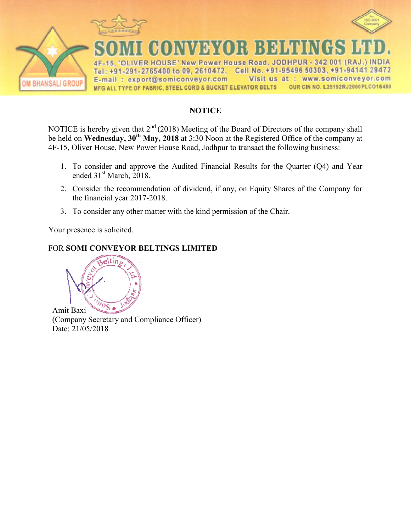

## **NOTICE**

NOTICE is hereby given that  $2<sup>nd</sup>$ be held on **Wednesday, 30th May** 4F-15, Oliver House, New Power House Road, Jodhpur to transact the following business: (2018) Meeting of the Board of Directors of the **May, 2018** at 3:30 Noon at the Registered Office of the company shall ice of the company at

- 1. To consider and approve the Audited Financial Results for the Quarter  $(Q4)$  and Year ended 31<sup>st</sup> March, 2018.
- 2. Consider the recommendation of dividend, if any, on Equity Shares of the Company for the financial year 2017-201 2018.
- 3. To consider any other matter with the kind permission of the Chair.

Your presence is solicited.

## FOR **SOMI CONVEYOR BELT BELTINGS LIMITED**



(Company Secretary and Compliance Officer) Date: 21/05/2018